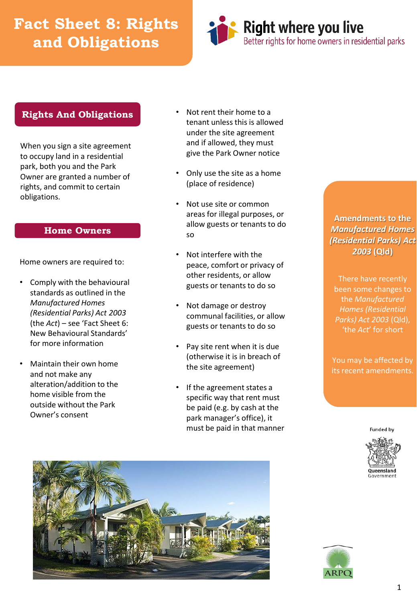# **Fact Sheet 8: Rights and Obligations**



#### **Rights And Obligations**

When you sign a site agreement to occupy land in a residential park, both you and the Park Owner are granted a number of rights, and commit to certain obligations.

#### **Home Owners**

Home owners are required to:

- Comply with the behavioural standards as outlined in the *Manufactured Homes (Residential Parks) Act 2003*  (the *Act*) – see 'Fact Sheet 6: New Behavioural Standards' for more information
- Maintain their own home and not make any alteration/addition to the home visible from the outside without the Park Owner's consent
- Not rent their home to a tenant unless this is allowed under the site agreement and if allowed, they must give the Park Owner notice
- Only use the site as a home (place of residence)
- Not use site or common areas for illegal purposes, or allow guests or tenants to do so
- Not interfere with the peace, comfort or privacy of other residents, or allow guests or tenants to do so
- Not damage or destroy communal facilities, or allow guests or tenants to do so
- Pay site rent when it is due (otherwise it is in breach of the site agreement)
- If the agreement states a specific way that rent must be paid (e.g. by cash at the park manager's office), it must be paid in that manner

**Amendments to the**  *Manufactured Homes (Residential Parks) Act 2003* **(Qld)**

There have recently been some changes to the *Manufactured Homes (Residential Parks) Act 2003* (Qld), 'the *Act*' for short

You may be affected by its recent amendments.

**Funded by**